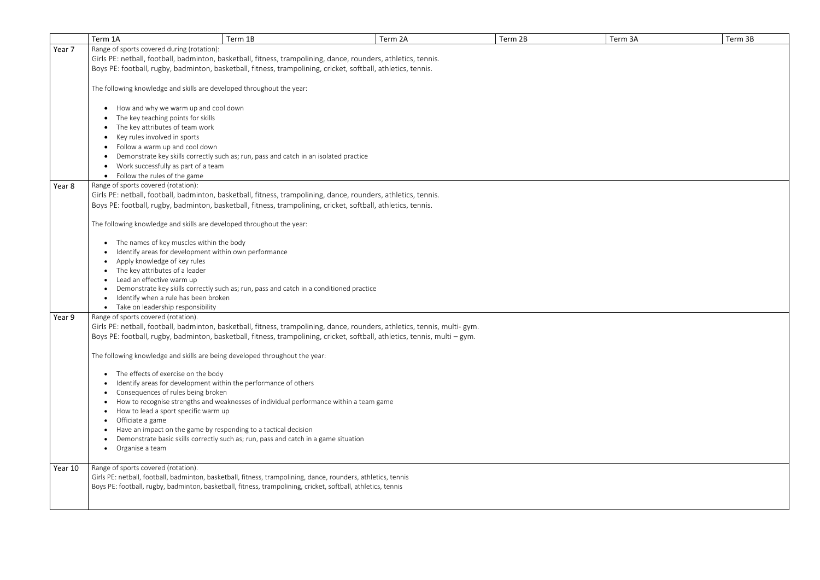|         | Term 1A                                                                                                        | Term 1B                                                                                 | Term 2A                                                                                                                    | Term 2B | Term 3A | Term 3B |  |
|---------|----------------------------------------------------------------------------------------------------------------|-----------------------------------------------------------------------------------------|----------------------------------------------------------------------------------------------------------------------------|---------|---------|---------|--|
| Year 7  | Range of sports covered during (rotation):                                                                     |                                                                                         |                                                                                                                            |         |         |         |  |
|         | Girls PE: netball, football, badminton, basketball, fitness, trampolining, dance, rounders, athletics, tennis. |                                                                                         |                                                                                                                            |         |         |         |  |
|         | Boys PE: football, rugby, badminton, basketball, fitness, trampolining, cricket, softball, athletics, tennis.  |                                                                                         |                                                                                                                            |         |         |         |  |
|         |                                                                                                                |                                                                                         |                                                                                                                            |         |         |         |  |
|         | The following knowledge and skills are developed throughout the year:                                          |                                                                                         |                                                                                                                            |         |         |         |  |
|         |                                                                                                                |                                                                                         |                                                                                                                            |         |         |         |  |
|         | How and why we warm up and cool down                                                                           |                                                                                         |                                                                                                                            |         |         |         |  |
|         | The key teaching points for skills                                                                             |                                                                                         |                                                                                                                            |         |         |         |  |
|         |                                                                                                                |                                                                                         |                                                                                                                            |         |         |         |  |
|         | The key attributes of team work                                                                                |                                                                                         |                                                                                                                            |         |         |         |  |
|         | Key rules involved in sports                                                                                   |                                                                                         |                                                                                                                            |         |         |         |  |
|         | Follow a warm up and cool down<br>$\bullet$                                                                    |                                                                                         |                                                                                                                            |         |         |         |  |
|         |                                                                                                                | Demonstrate key skills correctly such as; run, pass and catch in an isolated practice   |                                                                                                                            |         |         |         |  |
|         | Work successfully as part of a team<br>$\bullet$                                                               |                                                                                         |                                                                                                                            |         |         |         |  |
|         | • Follow the rules of the game                                                                                 |                                                                                         |                                                                                                                            |         |         |         |  |
| Year 8  | Range of sports covered (rotation):                                                                            |                                                                                         |                                                                                                                            |         |         |         |  |
|         | Girls PE: netball, football, badminton, basketball, fitness, trampolining, dance, rounders, athletics, tennis. |                                                                                         |                                                                                                                            |         |         |         |  |
|         | Boys PE: football, rugby, badminton, basketball, fitness, trampolining, cricket, softball, athletics, tennis.  |                                                                                         |                                                                                                                            |         |         |         |  |
|         |                                                                                                                |                                                                                         |                                                                                                                            |         |         |         |  |
|         | The following knowledge and skills are developed throughout the year:                                          |                                                                                         |                                                                                                                            |         |         |         |  |
|         |                                                                                                                |                                                                                         |                                                                                                                            |         |         |         |  |
|         | The names of key muscles within the body                                                                       |                                                                                         |                                                                                                                            |         |         |         |  |
|         | Identify areas for development within own performance                                                          |                                                                                         |                                                                                                                            |         |         |         |  |
|         | Apply knowledge of key rules                                                                                   |                                                                                         |                                                                                                                            |         |         |         |  |
|         | The key attributes of a leader                                                                                 |                                                                                         |                                                                                                                            |         |         |         |  |
|         | Lead an effective warm up                                                                                      |                                                                                         |                                                                                                                            |         |         |         |  |
|         |                                                                                                                | Demonstrate key skills correctly such as; run, pass and catch in a conditioned practice |                                                                                                                            |         |         |         |  |
|         | Identify when a rule has been broken                                                                           |                                                                                         |                                                                                                                            |         |         |         |  |
|         | • Take on leadership responsibility                                                                            |                                                                                         |                                                                                                                            |         |         |         |  |
| Year 9  | Range of sports covered (rotation).                                                                            |                                                                                         |                                                                                                                            |         |         |         |  |
|         |                                                                                                                |                                                                                         | Girls PE: netball, football, badminton, basketball, fitness, trampolining, dance, rounders, athletics, tennis, multi-gym.  |         |         |         |  |
|         |                                                                                                                |                                                                                         | Boys PE: football, rugby, badminton, basketball, fitness, trampolining, cricket, softball, athletics, tennis, multi - gym. |         |         |         |  |
|         |                                                                                                                |                                                                                         |                                                                                                                            |         |         |         |  |
|         | The following knowledge and skills are being developed throughout the year:                                    |                                                                                         |                                                                                                                            |         |         |         |  |
|         | • The effects of exercise on the body                                                                          |                                                                                         |                                                                                                                            |         |         |         |  |
|         |                                                                                                                |                                                                                         |                                                                                                                            |         |         |         |  |
|         | Identify areas for development within the performance of others<br>Consequences of rules being broken          |                                                                                         |                                                                                                                            |         |         |         |  |
|         |                                                                                                                | How to recognise strengths and weaknesses of individual performance within a team game  |                                                                                                                            |         |         |         |  |
|         | How to lead a sport specific warm up                                                                           |                                                                                         |                                                                                                                            |         |         |         |  |
|         | Officiate a game                                                                                               |                                                                                         |                                                                                                                            |         |         |         |  |
|         | $\bullet$<br>Have an impact on the game by responding to a tactical decision                                   |                                                                                         |                                                                                                                            |         |         |         |  |
|         | $\bullet$                                                                                                      | Demonstrate basic skills correctly such as; run, pass and catch in a game situation     |                                                                                                                            |         |         |         |  |
|         | • Organise a team                                                                                              |                                                                                         |                                                                                                                            |         |         |         |  |
|         |                                                                                                                |                                                                                         |                                                                                                                            |         |         |         |  |
|         | Range of sports covered (rotation).                                                                            |                                                                                         |                                                                                                                            |         |         |         |  |
| Year 10 | Girls PE: netball, football, badminton, basketball, fitness, trampolining, dance, rounders, athletics, tennis  |                                                                                         |                                                                                                                            |         |         |         |  |
|         | Boys PE: football, rugby, badminton, basketball, fitness, trampolining, cricket, softball, athletics, tennis   |                                                                                         |                                                                                                                            |         |         |         |  |
|         |                                                                                                                |                                                                                         |                                                                                                                            |         |         |         |  |
|         |                                                                                                                |                                                                                         |                                                                                                                            |         |         |         |  |
|         |                                                                                                                |                                                                                         |                                                                                                                            |         |         |         |  |